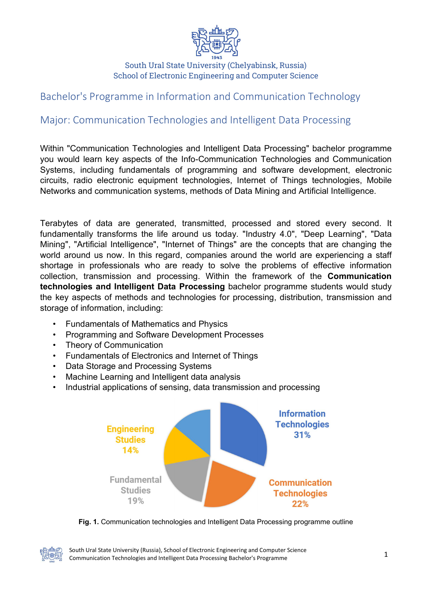

## South Ural State University (Chelyabinsk, Russia) School of Electronic Engineering and Computer Science

## Bachelor's Programme in Information and Communication Technology

## Major: Communication Technologies and Intelligent Data Processing

Within "Communication Technologies and Intelligent Data Processing" bachelor programme you would learn key aspects of the Info-Communication Technologies and Communication Systems, including fundamentals of programming and software development, electronic circuits, radio electronic equipment technologies, Internet of Things technologies, Mobile Networks and communication systems, methods of Data Mining and Artificial Intelligence.

Terabytes of data are generated, transmitted, processed and stored every second. It fundamentally transforms the life around us today. "Industry 4.0", "Deep Learning", "Data Mining", "Artificial Intelligence", "Internet of Things" are the concepts that are changing the world around us now. In this regard, companies around the world are experiencing a staff shortage in professionals who are ready to solve the problems of effective information collection, transmission and processing. Within the framework of the Communication technologies and Intelligent Data Processing bachelor programme students would study the key aspects of methods and technologies for processing, distribution, transmission and storage of information, including:

- Fundamentals of Mathematics and Physics
- Programming and Software Development Processes
- Theory of Communication
- Fundamentals of Electronics and Internet of Things
- Data Storage and Processing Systems
- Machine Learning and Intelligent data analysis
- Industrial applications of sensing, data transmission and processing



Fig. 1. Communication technologies and Intelligent Data Processing programme outline

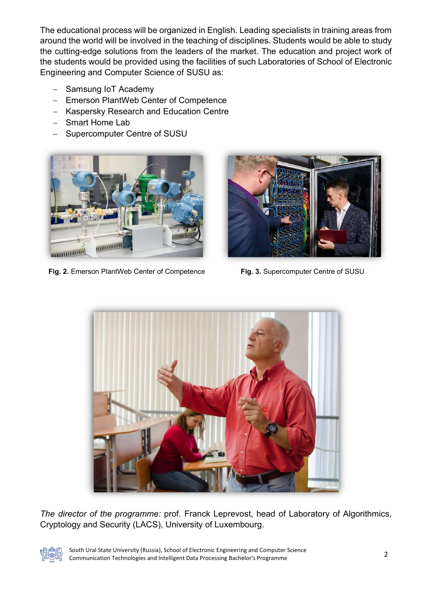The educational process will be organized in English. Leading specialists in training areas from around the world will be involved in the teaching of disciplines. Students would be able to study the cutting-edge solutions from the leaders of the market. The education and project work of the students would be provided using the facilities of such Laboratories of School of Electronic Engineering and Computer Science of SUSU as:

- Samsung IoT Academy
- Emerson PlantWeb Center of Competence
- Kaspersky Research and Education Centre
- Smart Home Lab
- Supercomputer Centre of SUSU



Fig. 2. Emerson PlantWeb Center of Competence Fig. 3. Supercomputer Centre of SUSU





The director of the programme: prof. Franck Leprevost, head of Laboratory of Algorithmics, Cryptology and Security (LACS), University of Luxembourg.



South Ural State University (Russia), School of Electronic Engineering and Computer Science Communication Technologies and Intelligent Data Processing Bachelor's Programme 2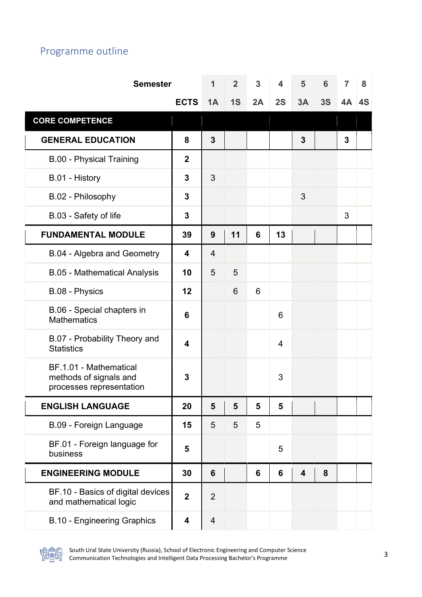## Programme outline

| <b>Semester</b>                                                              |                         | $\mathbf 1$    | $\overline{2}$ | 3  | 4              | 5  | 6  | 7            | 8  |
|------------------------------------------------------------------------------|-------------------------|----------------|----------------|----|----------------|----|----|--------------|----|
|                                                                              | <b>ECTS</b>             | 1A             | 1S             | 2A | 2S             | 3A | 3S | 4A           | 4S |
| <b>CORE COMPETENCE</b>                                                       |                         |                |                |    |                |    |    |              |    |
| <b>GENERAL EDUCATION</b>                                                     | 8                       | $\overline{3}$ |                |    |                | 3  |    | $\mathbf{3}$ |    |
| <b>B.00 - Physical Training</b>                                              | $\overline{2}$          |                |                |    |                |    |    |              |    |
| B.01 - History                                                               | 3                       | 3              |                |    |                |    |    |              |    |
| B.02 - Philosophy                                                            | 3                       |                |                |    |                | 3  |    |              |    |
| B.03 - Safety of life                                                        | 3                       |                |                |    |                |    |    | 3            |    |
| <b>FUNDAMENTAL MODULE</b>                                                    | 39                      | 9              | 11             | 6  | 13             |    |    |              |    |
| B.04 - Algebra and Geometry                                                  | $\overline{\mathbf{4}}$ | $\overline{4}$ |                |    |                |    |    |              |    |
| <b>B.05 - Mathematical Analysis</b>                                          | 10                      | 5              | 5              |    |                |    |    |              |    |
| B.08 - Physics                                                               | 12                      |                | 6              | 6  |                |    |    |              |    |
| B.06 - Special chapters in<br><b>Mathematics</b>                             | 6                       |                |                |    | 6              |    |    |              |    |
| B.07 - Probability Theory and<br><b>Statistics</b>                           | 4                       |                |                |    | $\overline{4}$ |    |    |              |    |
| BF.1.01 - Mathematical<br>methods of signals and<br>processes representation | 3                       |                |                |    | 3              |    |    |              |    |
| <b>ENGLISH LANGUAGE</b>                                                      | 20                      | 5              | 5              | 5  | 5              |    |    |              |    |
| B.09 - Foreign Language                                                      | 15                      | 5              | 5              | 5  |                |    |    |              |    |
| BF.01 - Foreign language for<br>business                                     | 5                       |                |                |    | 5              |    |    |              |    |
| <b>ENGINEERING MODULE</b>                                                    | 30                      | 6              |                | 6  | 6              | 4  | 8  |              |    |
| BF.10 - Basics of digital devices<br>and mathematical logic                  | $\mathbf{2}$            | $\overline{2}$ |                |    |                |    |    |              |    |
| <b>B.10 - Engineering Graphics</b>                                           | 4                       | $\overline{4}$ |                |    |                |    |    |              |    |



South Ural State University (Russia), School of Electronic Engineering and Computer Science Communication Technologies and Intelligent Data Processing Bachelor's Programme 3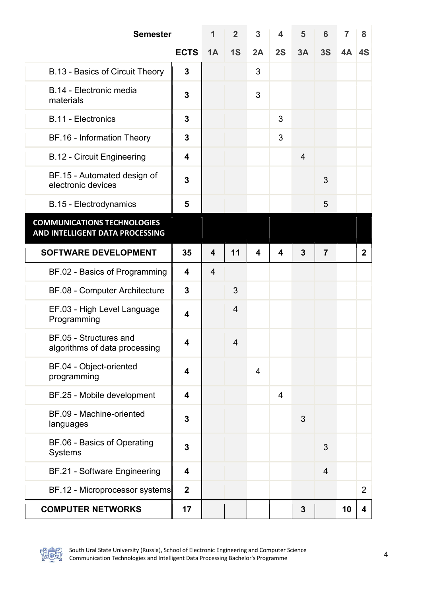| <b>Semester</b>                                                       |                         | 1                       | $\overline{2}$ | 3  | 4              | 5              | 6              | 7  | 8              |
|-----------------------------------------------------------------------|-------------------------|-------------------------|----------------|----|----------------|----------------|----------------|----|----------------|
|                                                                       | <b>ECTS</b>             | 1A                      | 1S             | 2A | 2S             | 3A             | 3S             | 4A | 4S             |
| B.13 - Basics of Circuit Theory                                       | 3                       |                         |                | 3  |                |                |                |    |                |
| B.14 - Electronic media<br>materials                                  | 3                       |                         |                | 3  |                |                |                |    |                |
| <b>B.11 - Electronics</b>                                             | 3                       |                         |                |    | 3              |                |                |    |                |
| BF.16 - Information Theory                                            | 3                       |                         |                |    | 3              |                |                |    |                |
| <b>B.12 - Circuit Engineering</b>                                     | 4                       |                         |                |    |                | $\overline{4}$ |                |    |                |
| BF.15 - Automated design of<br>electronic devices                     | 3                       |                         |                |    |                |                | 3              |    |                |
| <b>B.15 - Electrodynamics</b>                                         | 5                       |                         |                |    |                |                | 5              |    |                |
| <b>COMMUNICATIONS TECHNOLOGIES</b><br>AND INTELLIGENT DATA PROCESSING |                         |                         |                |    |                |                |                |    |                |
| <b>SOFTWARE DEVELOPMENT</b>                                           | 35                      | $\overline{\mathbf{4}}$ | 11             | 4  | 4              | $\overline{3}$ | $\overline{7}$ |    | $\mathbf{2}$   |
| BF.02 - Basics of Programming                                         | $\overline{\mathbf{4}}$ | $\overline{4}$          |                |    |                |                |                |    |                |
| BF.08 - Computer Architecture                                         | 3                       |                         | 3              |    |                |                |                |    |                |
| EF.03 - High Level Language<br>Programming                            | 4                       |                         | $\overline{4}$ |    |                |                |                |    |                |
| BF.05 - Structures and<br>algorithms of data processing               | 4                       |                         | 4              |    |                |                |                |    |                |
| BF.04 - Object-oriented<br>programming                                | 4                       |                         |                | 4  |                |                |                |    |                |
| BF.25 - Mobile development                                            | 4                       |                         |                |    | $\overline{4}$ |                |                |    |                |
| BF.09 - Machine-oriented<br>languages                                 | 3                       |                         |                |    |                | 3              |                |    |                |
| BF.06 - Basics of Operating<br>Systems                                | 3                       |                         |                |    |                |                | 3              |    |                |
| BF.21 - Software Engineering                                          | 4                       |                         |                |    |                |                | $\overline{4}$ |    |                |
| BF.12 - Microprocessor systems                                        | $\boldsymbol{2}$        |                         |                |    |                |                |                |    | $\overline{2}$ |
| <b>COMPUTER NETWORKS</b>                                              | 17                      |                         |                |    |                | 3              |                | 10 | 4              |

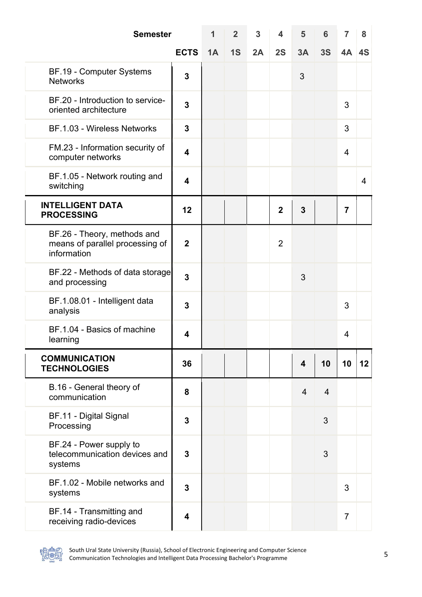| <b>Semester</b>                                                               |                         | 1  | $\overline{2}$ | 3  | 4              | 5                       | 6  | 7              | 8  |
|-------------------------------------------------------------------------------|-------------------------|----|----------------|----|----------------|-------------------------|----|----------------|----|
|                                                                               | <b>ECTS</b>             | 1A | 1S             | 2A | 2S             | 3A                      | 3S | $4A$ 4S        |    |
| BF.19 - Computer Systems<br><b>Networks</b>                                   | 3                       |    |                |    |                | 3                       |    |                |    |
| BF.20 - Introduction to service-<br>oriented architecture                     | 3                       |    |                |    |                |                         |    | 3              |    |
| BF.1.03 - Wireless Networks                                                   | $\mathbf{3}$            |    |                |    |                |                         |    | 3              |    |
| FM.23 - Information security of<br>computer networks                          | $\overline{\mathbf{4}}$ |    |                |    |                |                         |    | 4              |    |
| BF.1.05 - Network routing and<br>switching                                    | 4                       |    |                |    |                |                         |    |                | 4  |
| <b>INTELLIGENT DATA</b><br><b>PROCESSING</b>                                  | 12                      |    |                |    | $\overline{2}$ | 3                       |    | $\overline{7}$ |    |
| BF.26 - Theory, methods and<br>means of parallel processing of<br>information | $\overline{2}$          |    |                |    | $\overline{2}$ |                         |    |                |    |
| BF.22 - Methods of data storage<br>and processing                             | $\overline{\mathbf{3}}$ |    |                |    |                | 3                       |    |                |    |
| BF.1.08.01 - Intelligent data<br>analysis                                     | 3                       |    |                |    |                |                         |    | 3              |    |
| BF.1.04 - Basics of machine<br>learning                                       | 4                       |    |                |    |                |                         |    | 4              |    |
| <b>COMMUNICATION</b><br><b>TECHNOLOGIES</b>                                   | 36                      |    |                |    |                | $\overline{\mathbf{4}}$ | 10 | 10             | 12 |
| B.16 - General theory of<br>communication                                     | 8                       |    |                |    |                | $\overline{4}$          | 4  |                |    |
| <b>BF.11 - Digital Signal</b><br>Processing                                   | 3                       |    |                |    |                |                         | 3  |                |    |
| BF.24 - Power supply to<br>telecommunication devices and<br>systems           | 3                       |    |                |    |                |                         | 3  |                |    |
| BF.1.02 - Mobile networks and<br>systems                                      | 3                       |    |                |    |                |                         |    | 3              |    |
| BF.14 - Transmitting and<br>receiving radio-devices                           | 4                       |    |                |    |                |                         |    | $\overline{7}$ |    |



South Ural State University (Russia), School of Electronic Engineering and Computer Science Communication Technologies and Intelligent Data Processing Bachelor's Programme 5